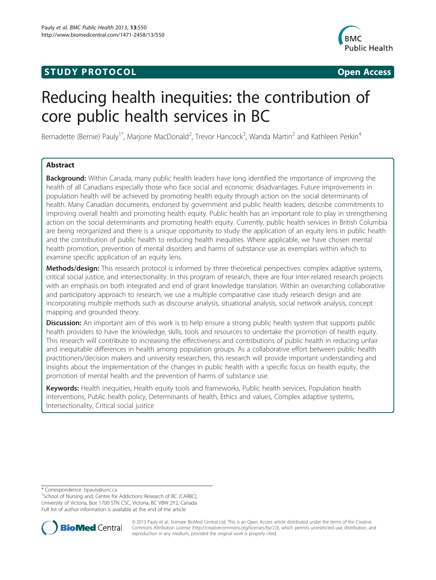## **STUDY PROTOCOL CONSUMING THE CONSUMING OPEN ACCESS**



# Reducing health inequities: the contribution of core public health services in BC

Bernadette (Bernie) Pauly<sup>1\*</sup>, Marjorie MacDonald<sup>2</sup>, Trevor Hancock<sup>3</sup>, Wanda Martin<sup>2</sup> and Kathleen Perkin<sup>4</sup>

## Abstract

**Background:** Within Canada, many public health leaders have long identified the importance of improving the health of all Canadians especially those who face social and economic disadvantages. Future improvements in population health will be achieved by promoting health equity through action on the social determinants of health. Many Canadian documents, endorsed by government and public health leaders, describe commitments to improving overall health and promoting health equity. Public health has an important role to play in strengthening action on the social determinants and promoting health equity. Currently, public health services in British Columbia are being reorganized and there is a unique opportunity to study the application of an equity lens in public health and the contribution of public health to reducing health inequities. Where applicable, we have chosen mental health promotion, prevention of mental disorders and harms of substance use as exemplars within which to examine specific application of an equity lens.

Methods/design: This research protocol is informed by three theoretical perspectives: complex adaptive systems, critical social justice, and intersectionality. In this program of research, there are four inter-related research projects with an emphasis on both integrated and end of grant knowledge translation. Within an overarching collaborative and participatory approach to research, we use a multiple comparative case study research design and are incorporating multiple methods such as discourse analysis, situational analysis, social network analysis, concept mapping and grounded theory.

**Discussion:** An important aim of this work is to help ensure a strong public health system that supports public health providers to have the knowledge, skills, tools and resources to undertake the promotion of health equity. This research will contribute to increasing the effectiveness and contributions of public health in reducing unfair and inequitable differences in health among population groups. As a collaborative effort between public health practitioners/decision makers and university researchers, this research will provide important understanding and insights about the implementation of the changes in public health with a specific focus on health equity, the promotion of mental health and the prevention of harms of substance use.

Keywords: Health inequities, Health equity tools and frameworks, Public health services, Population health interventions, Public health policy, Determinants of health, Ethics and values, Complex adaptive systems, Intersectionality, Critical social justice

\* Correspondence: [bpauly@uvic.ca](mailto:bpauly@uvic.ca) <sup>1</sup>

<sup>1</sup>School of Nursing and, Centre for Addictions Research of BC (CARBC), University of Victoria, Box 1700 STN CSC, Victoria, BC V8W 2Y2, Canada Full list of author information is available at the end of the article



© 2013 Pauly et al.; licensee BioMed Central Ltd. This is an Open Access article distributed under the terms of the Creative Commons Attribution License [\(http://creativecommons.org/licenses/by/2.0\)](http://creativecommons.org/licenses/by/2.0), which permits unrestricted use, distribution, and reproduction in any medium, provided the original work is properly cited.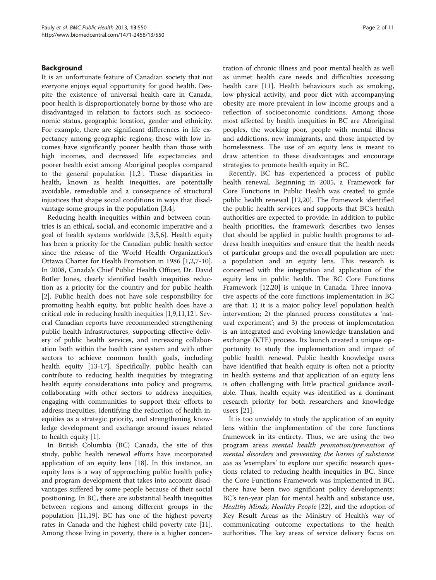## Background

It is an unfortunate feature of Canadian society that not everyone enjoys equal opportunity for good health. Despite the existence of universal health care in Canada, poor health is disproportionately borne by those who are disadvantaged in relation to factors such as socioeconomic status, geographic location, gender and ethnicity. For example, there are significant differences in life expectancy among geographic regions; those with low incomes have significantly poorer health than those with high incomes, and decreased life expectancies and poorer health exist among Aboriginal peoples compared to the general population [\[1,2](#page-9-0)]. These disparities in health, known as health inequities, are potentially avoidable, remediable and a consequence of structural injustices that shape social conditions in ways that disadvantage some groups in the population [[3,4\]](#page-9-0).

Reducing health inequities within and between countries is an ethical, social, and economic imperative and a goal of health systems worldwide [\[3,5,6](#page-9-0)]. Health equity has been a priority for the Canadian public health sector since the release of the World Health Organization's Ottawa Charter for Health Promotion in 1986 [[1,2,7-10](#page-9-0)]. In 2008, Canada's Chief Public Health Officer, Dr. David Butler Jones, clearly identified health inequities reduction as a priority for the country and for public health [[2\]](#page-9-0). Public health does not have sole responsibility for promoting health equity, but public health does have a critical role in reducing health inequities [[1,9,11,12\]](#page-9-0). Several Canadian reports have recommended strengthening public health infrastructures, supporting effective delivery of public health services, and increasing collaboration both within the health care system and with other sectors to achieve common health goals, including health equity [\[13](#page-9-0)-[17\]](#page-9-0). Specifically, public health can contribute to reducing health inequities by integrating health equity considerations into policy and programs, collaborating with other sectors to address inequities, engaging with communities to support their efforts to address inequities, identifying the reduction of health inequities as a strategic priority, and strengthening knowledge development and exchange around issues related to health equity [\[1](#page-9-0)].

In British Columbia (BC) Canada, the site of this study, public health renewal efforts have incorporated application of an equity lens [\[18](#page-9-0)]. In this instance, an equity lens is a way of approaching public health policy and program development that takes into account disadvantages suffered by some people because of their social positioning. In BC, there are substantial health inequities between regions and among different groups in the population [[11](#page-9-0),[19](#page-9-0)]. BC has one of the highest poverty rates in Canada and the highest child poverty rate [\[11](#page-9-0)]. Among those living in poverty, there is a higher concen-

tration of chronic illness and poor mental health as well as unmet health care needs and difficulties accessing health care [[11\]](#page-9-0). Health behaviours such as smoking, low physical activity, and poor diet with accompanying obesity are more prevalent in low income groups and a reflection of socioeconomic conditions. Among those most affected by health inequities in BC are Aboriginal peoples, the working poor, people with mental illness and addictions, new immigrants, and those impacted by homelessness. The use of an equity lens is meant to draw attention to these disadvantages and encourage strategies to promote health equity in BC.

Recently, BC has experienced a process of public health renewal. Beginning in 2005, a Framework for Core Functions in Public Health was created to guide public health renewal [\[12,20](#page-9-0)]. The framework identified the public health services and supports that BC's health authorities are expected to provide. In addition to public health priorities, the framework describes two lenses that should be applied in public health programs to address health inequities and ensure that the health needs of particular groups and the overall population are met: a population and an equity lens. This research is concerned with the integration and application of the equity lens in public health. The BC Core Functions Framework [\[12,20](#page-9-0)] is unique in Canada. Three innovative aspects of the core functions implementation in BC are that: 1) it is a major policy level population health intervention; 2) the planned process constitutes a 'natural experiment'; and 3) the process of implementation is an integrated and evolving knowledge translation and exchange (KTE) process. Its launch created a unique opportunity to study the implementation and impact of public health renewal. Public health knowledge users have identified that health equity is often not a priority in health systems and that application of an equity lens is often challenging with little practical guidance available. Thus, health equity was identified as a dominant research priority for both researchers and knowledge users [[21\]](#page-9-0).

It is too unwieldy to study the application of an equity lens within the implementation of the core functions framework in its entirety. Thus, we are using the two program areas mental health promotion/prevention of mental disorders and preventing the harms of substance use as 'exemplars' to explore our specific research questions related to reducing health inequities in BC. Since the Core Functions Framework was implemented in BC, there have been two significant policy developments: BC's ten-year plan for mental health and substance use, Healthy Minds, Healthy People [[22\]](#page-9-0), and the adoption of Key Result Areas as the Ministry of Health's way of communicating outcome expectations to the health authorities. The key areas of service delivery focus on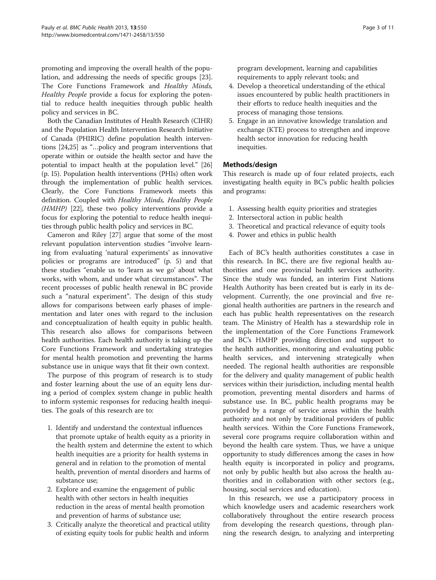promoting and improving the overall health of the population, and addressing the needs of specific groups [\[23](#page-9-0)]. The Core Functions Framework and Healthy Minds, Healthy People provide a focus for exploring the potential to reduce health inequities through public health policy and services in BC.

Both the Canadian Institutes of Health Research (CIHR) and the Population Health Intervention Research Initiative of Canada (PHIRIC) define population health interventions [\[24,25](#page-9-0)] as "…policy and program interventions that operate within or outside the health sector and have the potential to impact health at the population level." [[26](#page-9-0)] (p. I5). Population health interventions (PHIs) often work through the implementation of public health services. Clearly, the Core Functions Framework meets this definition. Coupled with Healthy Minds, Healthy People (HMHP) [\[22](#page-9-0)], these two policy interventions provide a focus for exploring the potential to reduce health inequities through public health policy and services in BC.

Cameron and Riley [[27](#page-9-0)] argue that some of the most relevant population intervention studies "involve learning from evaluating 'natural experiments' as innovative policies or programs are introduced" (p. 5) and that these studies "enable us to 'learn as we go' about what works, with whom, and under what circumstances". The recent processes of public health renewal in BC provide such a "natural experiment". The design of this study allows for comparisons between early phases of implementation and later ones with regard to the inclusion and conceptualization of health equity in public health. This research also allows for comparisons between health authorities. Each health authority is taking up the Core Functions Framework and undertaking strategies for mental health promotion and preventing the harms substance use in unique ways that fit their own context.

The purpose of this program of research is to study and foster learning about the use of an equity lens during a period of complex system change in public health to inform systemic responses for reducing health inequities. The goals of this research are to:

- 1. Identify and understand the contextual influences that promote uptake of health equity as a priority in the health system and determine the extent to which health inequities are a priority for health systems in general and in relation to the promotion of mental health, prevention of mental disorders and harms of substance use;
- 2. Explore and examine the engagement of public health with other sectors in health inequities reduction in the areas of mental health promotion and prevention of harms of substance use;
- 3. Critically analyze the theoretical and practical utility of existing equity tools for public health and inform

program development, learning and capabilities requirements to apply relevant tools; and

- 4. Develop a theoretical understanding of the ethical issues encountered by public health practitioners in their efforts to reduce health inequities and the process of managing those tensions.
- 5. Engage in an innovative knowledge translation and exchange (KTE) process to strengthen and improve health sector innovation for reducing health inequities.

### Methods/design

This research is made up of four related projects, each investigating health equity in BC's public health policies and programs:

- 1. Assessing health equity priorities and strategies
- 2. Intersectoral action in public health
- 3. Theoretical and practical relevance of equity tools
- 4. Power and ethics in public health

Each of BC's health authorities constitutes a case in this research. In BC, there are five regional health authorities and one provincial health services authority. Since the study was funded, an interim First Nations Health Authority has been created but is early in its development. Currently, the one provincial and five regional health authorities are partners in the research and each has public health representatives on the research team. The Ministry of Health has a stewardship role in the implementation of the Core Functions Framework and BC's HMHP providing direction and support to the health authorities, monitoring and evaluating public health services, and intervening strategically when needed. The regional health authorities are responsible for the delivery and quality management of public health services within their jurisdiction, including mental health promotion, preventing mental disorders and harms of substance use. In BC, public health programs may be provided by a range of service areas within the health authority and not only by traditional providers of public health services. Within the Core Functions Framework, several core programs require collaboration within and beyond the health care system. Thus, we have a unique opportunity to study differences among the cases in how health equity is incorporated in policy and programs, not only by public health but also across the health authorities and in collaboration with other sectors (e.g., housing, social services and education).

In this research, we use a participatory process in which knowledge users and academic researchers work collaboratively throughout the entire research process from developing the research questions, through planning the research design, to analyzing and interpreting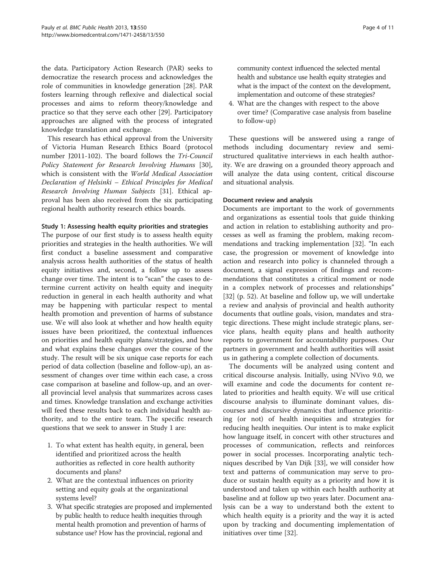the data. Participatory Action Research (PAR) seeks to democratize the research process and acknowledges the role of communities in knowledge generation [[28\]](#page-9-0). PAR fosters learning through reflexive and dialectical social processes and aims to reform theory/knowledge and practice so that they serve each other [[29](#page-9-0)]. Participatory approaches are aligned with the process of integrated knowledge translation and exchange.

This research has ethical approval from the University of Victoria Human Research Ethics Board (protocol number J2011-102). The board follows the Tri-Council Policy Statement for Research Involving Humans [\[30](#page-9-0)], which is consistent with the World Medical Association Declaration of Helsinki – Ethical Principles for Medical Research Involving Human Subjects [[31](#page-9-0)]. Ethical approval has been also received from the six participating regional health authority research ethics boards.

#### Study 1: Assessing health equity priorities and strategies

The purpose of our first study is to assess health equity priorities and strategies in the health authorities. We will first conduct a baseline assessment and comparative analysis across health authorities of the status of health equity initiatives and, second, a follow up to assess change over time. The intent is to "scan" the cases to determine current activity on health equity and inequity reduction in general in each health authority and what may be happening with particular respect to mental health promotion and prevention of harms of substance use. We will also look at whether and how health equity issues have been prioritized, the contextual influences on priorities and health equity plans/strategies, and how and what explains these changes over the course of the study. The result will be six unique case reports for each period of data collection (baseline and follow-up), an assessment of changes over time within each case, a cross case comparison at baseline and follow-up, and an overall provincial level analysis that summarizes across cases and times. Knowledge translation and exchange activities will feed these results back to each individual health authority, and to the entire team. The specific research questions that we seek to answer in Study 1 are:

- 1. To what extent has health equity, in general, been identified and prioritized across the health authorities as reflected in core health authority documents and plans?
- 2. What are the contextual influences on priority setting and equity goals at the organizational systems level?
- 3. What specific strategies are proposed and implemented by public health to reduce health inequities through mental health promotion and prevention of harms of substance use? How has the provincial, regional and

community context influenced the selected mental health and substance use health equity strategies and what is the impact of the context on the development, implementation and outcome of these strategies?

4. What are the changes with respect to the above over time? (Comparative case analysis from baseline to follow-up)

These questions will be answered using a range of methods including documentary review and semistructured qualitative interviews in each health authority. We are drawing on a grounded theory approach and will analyze the data using content, critical discourse and situational analysis.

## Document review and analysis

Documents are important to the work of governments and organizations as essential tools that guide thinking and action in relation to establishing authority and processes as well as framing the problem, making recommendations and tracking implementation [[32](#page-9-0)]. "In each case, the progression or movement of knowledge into action and research into policy is channeled through a document, a signal expression of findings and recommendations that constitutes a critical moment or node in a complex network of processes and relationships" [[32\]](#page-9-0) (p. 52). At baseline and follow up, we will undertake a review and analysis of provincial and health authority documents that outline goals, vision, mandates and strategic directions. These might include strategic plans, service plans, health equity plans and health authority reports to government for accountability purposes. Our partners in government and health authorities will assist us in gathering a complete collection of documents.

The documents will be analyzed using content and critical discourse analysis. Initially, using NVivo 9.0, we will examine and code the documents for content related to priorities and health equity. We will use critical discourse analysis to illuminate dominant values, discourses and discursive dynamics that influence prioritizing (or not) of health inequities and strategies for reducing health inequities. Our intent is to make explicit how language itself, in concert with other structures and processes of communication, reflects and reinforces power in social processes. Incorporating analytic techniques described by Van Dijk [[33](#page-9-0)], we will consider how text and patterns of communication may serve to produce or sustain health equity as a priority and how it is understood and taken up within each health authority at baseline and at follow up two years later. Document analysis can be a way to understand both the extent to which health equity is a priority and the way it is acted upon by tracking and documenting implementation of initiatives over time [[32\]](#page-9-0).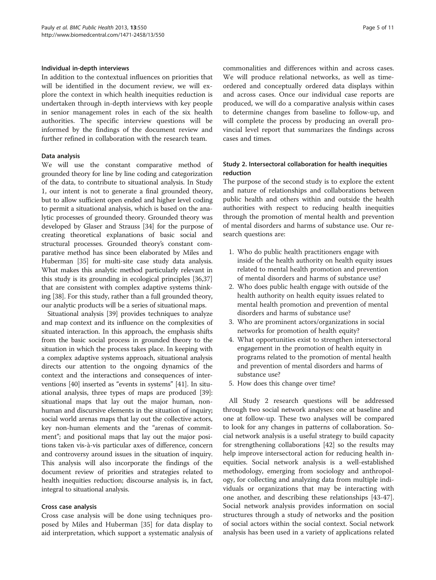#### Individual in-depth interviews

In addition to the contextual influences on priorities that will be identified in the document review, we will explore the context in which health inequities reduction is undertaken through in-depth interviews with key people in senior management roles in each of the six health authorities. The specific interview questions will be informed by the findings of the document review and further refined in collaboration with the research team.

#### Data analysis

We will use the constant comparative method of grounded theory for line by line coding and categorization of the data, to contribute to situational analysis. In Study 1, our intent is not to generate a final grounded theory, but to allow sufficient open ended and higher level coding to permit a situational analysis, which is based on the analytic processes of grounded theory. Grounded theory was developed by Glaser and Strauss [\[34\]](#page-9-0) for the purpose of creating theoretical explanations of basic social and structural processes. Grounded theory's constant comparative method has since been elaborated by Miles and Huberman [\[35](#page-9-0)] for multi-site case study data analysis. What makes this analytic method particularly relevant in this study is its grounding in ecological principles [\[36,37](#page-9-0)] that are consistent with complex adaptive systems thinking [[38](#page-9-0)]. For this study, rather than a full grounded theory, our analytic products will be a series of situational maps.

Situational analysis [\[39](#page-9-0)] provides techniques to analyze and map context and its influence on the complexities of situated interaction. In this approach, the emphasis shifts from the basic social process in grounded theory to the situation in which the process takes place. In keeping with a complex adaptive systems approach, situational analysis directs our attention to the ongoing dynamics of the context and the interactions and consequences of interventions [[40](#page-9-0)] inserted as "events in systems" [[41](#page-9-0)]. In situational analysis, three types of maps are produced [[39](#page-9-0)]: situational maps that lay out the major human, nonhuman and discursive elements in the situation of inquiry; social world arenas maps that lay out the collective actors, key non-human elements and the "arenas of commitment"; and positional maps that lay out the major positions taken vis-à-vis particular axes of difference, concern and controversy around issues in the situation of inquiry. This analysis will also incorporate the findings of the document review of priorities and strategies related to health inequities reduction; discourse analysis is, in fact, integral to situational analysis.

#### Cross case analysis

Cross case analysis will be done using techniques proposed by Miles and Huberman [[35](#page-9-0)] for data display to aid interpretation, which support a systematic analysis of commonalities and differences within and across cases. We will produce relational networks, as well as timeordered and conceptually ordered data displays within and across cases. Once our individual case reports are produced, we will do a comparative analysis within cases to determine changes from baseline to follow-up, and will complete the process by producing an overall provincial level report that summarizes the findings across cases and times.

### Study 2. Intersectoral collaboration for health inequities reduction

The purpose of the second study is to explore the extent and nature of relationships and collaborations between public health and others within and outside the health authorities with respect to reducing health inequities through the promotion of mental health and prevention of mental disorders and harms of substance use. Our research questions are:

- 1. Who do public health practitioners engage with inside of the health authority on health equity issues related to mental health promotion and prevention of mental disorders and harms of substance use?
- 2. Who does public health engage with outside of the health authority on health equity issues related to mental health promotion and prevention of mental disorders and harms of substance use?
- 3. Who are prominent actors/organizations in social networks for promotion of health equity?
- 4. What opportunities exist to strengthen intersectoral engagement in the promotion of health equity in programs related to the promotion of mental health and prevention of mental disorders and harms of substance use?
- 5. How does this change over time?

All Study 2 research questions will be addressed through two social network analyses: one at baseline and one at follow-up. These two analyses will be compared to look for any changes in patterns of collaboration. Social network analysis is a useful strategy to build capacity for strengthening collaborations [[42](#page-9-0)] so the results may help improve intersectoral action for reducing health inequities. Social network analysis is a well-established methodology, emerging from sociology and anthropology, for collecting and analyzing data from multiple individuals or organizations that may be interacting with one another, and describing these relationships [\[43](#page-9-0)[-47](#page-10-0)]. Social network analysis provides information on social structures through a study of networks and the position of social actors within the social context. Social network analysis has been used in a variety of applications related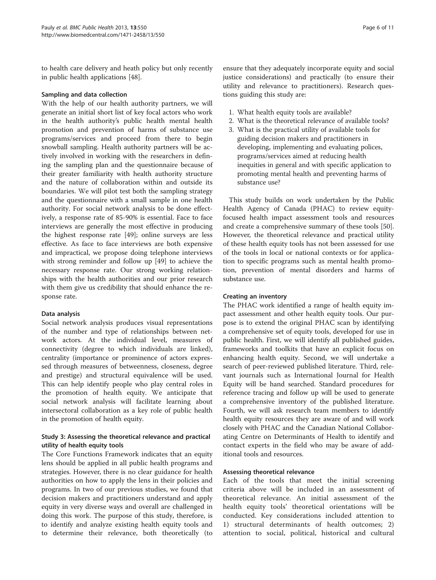to health care delivery and heath policy but only recently in public health applications [[48\]](#page-10-0).

#### Sampling and data collection

With the help of our health authority partners, we will generate an initial short list of key focal actors who work in the health authority's public health mental health promotion and prevention of harms of substance use programs/services and proceed from there to begin snowball sampling. Health authority partners will be actively involved in working with the researchers in defining the sampling plan and the questionnaire because of their greater familiarity with health authority structure and the nature of collaboration within and outside its boundaries. We will pilot test both the sampling strategy and the questionnaire with a small sample in one health authority. For social network analysis to be done effectively, a response rate of 85-90% is essential. Face to face interviews are generally the most effective in producing the highest response rate [\[49\]](#page-10-0); online surveys are less effective. As face to face interviews are both expensive and impractical, we propose doing telephone interviews with strong reminder and follow up [[49\]](#page-10-0) to achieve the necessary response rate. Our strong working relationships with the health authorities and our prior research with them give us credibility that should enhance the response rate.

#### Data analysis

Social network analysis produces visual representations of the number and type of relationships between network actors. At the individual level, measures of connectivity (degree to which individuals are linked), centrality (importance or prominence of actors expressed through measures of betweenness, closeness, degree and prestige) and structural equivalence will be used. This can help identify people who play central roles in the promotion of health equity. We anticipate that social network analysis will facilitate learning about intersectoral collaboration as a key role of public health in the promotion of health equity.

## Study 3: Assessing the theoretical relevance and practical utility of health equity tools

The Core Functions Framework indicates that an equity lens should be applied in all public health programs and strategies. However, there is no clear guidance for health authorities on how to apply the lens in their policies and programs. In two of our previous studies, we found that decision makers and practitioners understand and apply equity in very diverse ways and overall are challenged in doing this work. The purpose of this study, therefore, is to identify and analyze existing health equity tools and to determine their relevance, both theoretically (to

ensure that they adequately incorporate equity and social justice considerations) and practically (to ensure their utility and relevance to practitioners). Research questions guiding this study are:

- 1. What health equity tools are available?
- 2. What is the theoretical relevance of available tools?
- 3. What is the practical utility of available tools for guiding decision makers and practitioners in developing, implementing and evaluating polices, programs/services aimed at reducing health inequities in general and with specific application to promoting mental health and preventing harms of substance use?

This study builds on work undertaken by the Public Health Agency of Canada (PHAC) to review equityfocused health impact assessment tools and resources and create a comprehensive summary of these tools [\[50](#page-10-0)]. However, the theoretical relevance and practical utility of these health equity tools has not been assessed for use of the tools in local or national contexts or for application to specific programs such as mental health promotion, prevention of mental disorders and harms of substance use.

### Creating an inventory

The PHAC work identified a range of health equity impact assessment and other health equity tools. Our purpose is to extend the original PHAC scan by identifying a comprehensive set of equity tools, developed for use in public health. First, we will identify all published guides, frameworks and toolkits that have an explicit focus on enhancing health equity. Second, we will undertake a search of peer-reviewed published literature. Third, relevant journals such as International Journal for Health Equity will be hand searched. Standard procedures for reference tracing and follow up will be used to generate a comprehensive inventory of the published literature. Fourth, we will ask research team members to identify health equity resources they are aware of and will work closely with PHAC and the Canadian National Collaborating Centre on Determinants of Health to identify and contact experts in the field who may be aware of additional tools and resources.

#### Assessing theoretical relevance

Each of the tools that meet the initial screening criteria above will be included in an assessment of theoretical relevance. An initial assessment of the health equity tools' theoretical orientations will be conducted. Key considerations included attention to 1) structural determinants of health outcomes; 2) attention to social, political, historical and cultural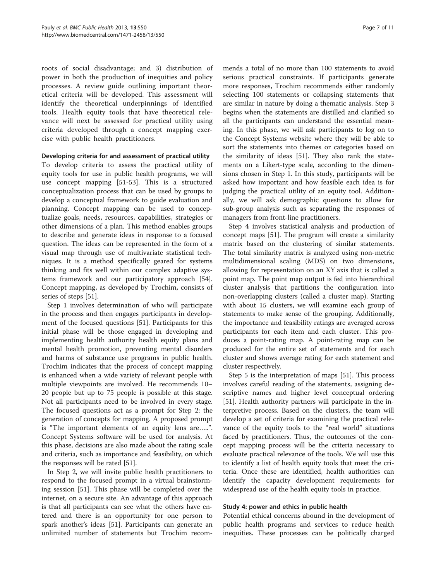roots of social disadvantage; and 3) distribution of power in both the production of inequities and policy processes. A review guide outlining important theoretical criteria will be developed. This assessment will identify the theoretical underpinnings of identified tools. Health equity tools that have theoretical relevance will next be assessed for practical utility using criteria developed through a concept mapping exercise with public health practitioners.

### Developing criteria for and assessment of practical utility

To develop criteria to assess the practical utility of equity tools for use in public health programs, we will use concept mapping [[51](#page-10-0)-[53\]](#page-10-0). This is a structured conceptualization process that can be used by groups to develop a conceptual framework to guide evaluation and planning. Concept mapping can be used to conceptualize goals, needs, resources, capabilities, strategies or other dimensions of a plan. This method enables groups to describe and generate ideas in response to a focused question. The ideas can be represented in the form of a visual map through use of multivariate statistical techniques. It is a method specifically geared for systems thinking and fits well within our complex adaptive systems framework and our participatory approach [\[54](#page-10-0)]. Concept mapping, as developed by Trochim, consists of series of steps [[51](#page-10-0)].

Step 1 involves determination of who will participate in the process and then engages participants in development of the focused questions [[51\]](#page-10-0). Participants for this initial phase will be those engaged in developing and implementing health authority health equity plans and mental health promotion, preventing mental disorders and harms of substance use programs in public health. Trochim indicates that the process of concept mapping is enhanced when a wide variety of relevant people with multiple viewpoints are involved. He recommends 10– 20 people but up to 75 people is possible at this stage. Not all participants need to be involved in every stage. The focused questions act as a prompt for Step 2: the generation of concepts for mapping. A proposed prompt is "The important elements of an equity lens are…..". Concept Systems software will be used for analysis. At this phase, decisions are also made about the rating scale and criteria, such as importance and feasibility, on which the responses will be rated [[51\]](#page-10-0).

In Step 2, we will invite public health practitioners to respond to the focused prompt in a virtual brainstorming session [\[51](#page-10-0)]. This phase will be completed over the internet, on a secure site. An advantage of this approach is that all participants can see what the others have entered and there is an opportunity for one person to spark another's ideas [[51\]](#page-10-0). Participants can generate an unlimited number of statements but Trochim recom-

mends a total of no more than 100 statements to avoid serious practical constraints. If participants generate more responses, Trochim recommends either randomly selecting 100 statements or collapsing statements that are similar in nature by doing a thematic analysis. Step 3 begins when the statements are distilled and clarified so all the participants can understand the essential meaning. In this phase, we will ask participants to log on to the Concept Systems website where they will be able to sort the statements into themes or categories based on the similarity of ideas [[51](#page-10-0)]. They also rank the statements on a Likert-type scale, according to the dimensions chosen in Step 1. In this study, participants will be asked how important and how feasible each idea is for judging the practical utility of an equity tool. Additionally, we will ask demographic questions to allow for sub-group analysis such as separating the responses of managers from front-line practitioners.

Step 4 involves statistical analysis and production of concept maps [[51\]](#page-10-0). The program will create a similarity matrix based on the clustering of similar statements. The total similarity matrix is analyzed using non-metric multidimensional scaling (MDS) on two dimensions, allowing for representation on an XY axis that is called a point map. The point map output is fed into hierarchical cluster analysis that partitions the configuration into non-overlapping clusters (called a cluster map). Starting with about 15 clusters, we will examine each group of statements to make sense of the grouping. Additionally, the importance and feasibility ratings are averaged across participants for each item and each cluster. This produces a point-rating map. A point-rating map can be produced for the entire set of statements and for each cluster and shows average rating for each statement and cluster respectively.

Step 5 is the interpretation of maps [\[51\]](#page-10-0). This process involves careful reading of the statements, assigning descriptive names and higher level conceptual ordering [[51\]](#page-10-0). Health authority partners will participate in the interpretive process. Based on the clusters, the team will develop a set of criteria for examining the practical relevance of the equity tools to the "real world" situations faced by practitioners. Thus, the outcomes of the concept mapping process will be the criteria necessary to evaluate practical relevance of the tools. We will use this to identify a list of health equity tools that meet the criteria. Once these are identified, health authorities can identify the capacity development requirements for widespread use of the health equity tools in practice.

#### Study 4: power and ethics in public health

Potential ethical concerns abound in the development of public health programs and services to reduce health inequities. These processes can be politically charged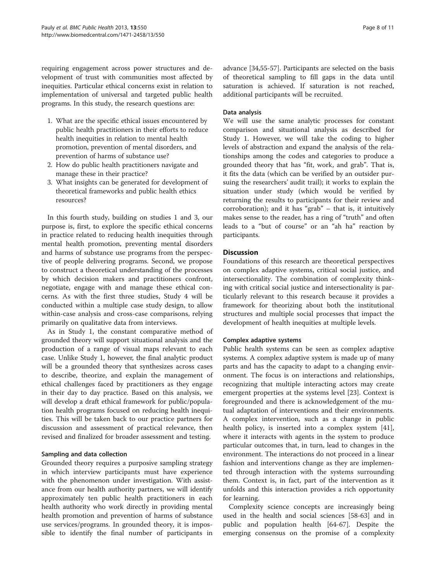requiring engagement across power structures and development of trust with communities most affected by inequities. Particular ethical concerns exist in relation to implementation of universal and targeted public health programs. In this study, the research questions are:

- 1. What are the specific ethical issues encountered by public health practitioners in their efforts to reduce health inequities in relation to mental health promotion, prevention of mental disorders, and prevention of harms of substance use?
- 2. How do public health practitioners navigate and manage these in their practice?
- 3. What insights can be generated for development of theoretical frameworks and public health ethics resources?

In this fourth study, building on studies 1 and 3, our purpose is, first, to explore the specific ethical concerns in practice related to reducing health inequities through mental health promotion, preventing mental disorders and harms of substance use programs from the perspective of people delivering programs. Second, we propose to construct a theoretical understanding of the processes by which decision makers and practitioners confront, negotiate, engage with and manage these ethical concerns. As with the first three studies, Study 4 will be conducted within a multiple case study design, to allow within-case analysis and cross-case comparisons, relying primarily on qualitative data from interviews.

As in Study 1, the constant comparative method of grounded theory will support situational analysis and the production of a range of visual maps relevant to each case. Unlike Study 1, however, the final analytic product will be a grounded theory that synthesizes across cases to describe, theorize, and explain the management of ethical challenges faced by practitioners as they engage in their day to day practice. Based on this analysis, we will develop a draft ethical framework for public/population health programs focused on reducing health inequities. This will be taken back to our practice partners for discussion and assessment of practical relevance, then revised and finalized for broader assessment and testing.

## Sampling and data collection

Grounded theory requires a purposive sampling strategy in which interview participants must have experience with the phenomenon under investigation. With assistance from our health authority partners, we will identify approximately ten public health practitioners in each health authority who work directly in providing mental health promotion and prevention of harms of substance use services/programs. In grounded theory, it is impossible to identify the final number of participants in advance [[34](#page-9-0),[55](#page-10-0)-[57\]](#page-10-0). Participants are selected on the basis of theoretical sampling to fill gaps in the data until saturation is achieved. If saturation is not reached, additional participants will be recruited.

### Data analysis

We will use the same analytic processes for constant comparison and situational analysis as described for Study 1. However, we will take the coding to higher levels of abstraction and expand the analysis of the relationships among the codes and categories to produce a grounded theory that has "fit, work, and grab". That is, it fits the data (which can be verified by an outsider pursuing the researchers' audit trail); it works to explain the situation under study (which would be verified by returning the results to participants for their review and corroboration); and it has "grab" – that is, it intuitively makes sense to the reader, has a ring of "truth" and often leads to a "but of course" or an "ah ha" reaction by participants.

## **Discussion**

Foundations of this research are theoretical perspectives on complex adaptive systems, critical social justice, and intersectionality. The combination of complexity thinking with critical social justice and intersectionality is particularly relevant to this research because it provides a framework for theorizing about both the institutional structures and multiple social processes that impact the development of health inequities at multiple levels.

## Complex adaptive systems

Public health systems can be seen as complex adaptive systems. A complex adaptive system is made up of many parts and has the capacity to adapt to a changing environment. The focus is on interactions and relationships, recognizing that multiple interacting actors may create emergent properties at the systems level [[23\]](#page-9-0). Context is foregrounded and there is acknowledgement of the mutual adaptation of interventions and their environments. A complex intervention, such as a change in public health policy, is inserted into a complex system [\[41](#page-9-0)], where it interacts with agents in the system to produce particular outcomes that, in turn, lead to changes in the environment. The interactions do not proceed in a linear fashion and interventions change as they are implemented through interaction with the systems surrounding them. Context is, in fact, part of the intervention as it unfolds and this interaction provides a rich opportunity for learning.

Complexity science concepts are increasingly being used in the health and social sciences [\[58-63](#page-10-0)] and in public and population health [\[64-67](#page-10-0)]. Despite the emerging consensus on the promise of a complexity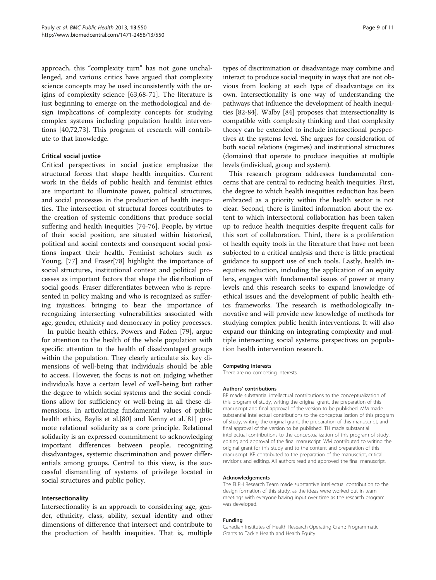approach, this "complexity turn" has not gone unchallenged, and various critics have argued that complexity science concepts may be used inconsistently with the origins of complexity science [[63,68-71\]](#page-10-0). The literature is just beginning to emerge on the methodological and design implications of complexity concepts for studying complex systems including population health interventions [\[40,](#page-9-0)[72,73\]](#page-10-0). This program of research will contribute to that knowledge.

### Critical social justice

Critical perspectives in social justice emphasize the structural forces that shape health inequities. Current work in the fields of public health and feminist ethics are important to illuminate power, political structures, and social processes in the production of health inequities. The intersection of structural forces contributes to the creation of systemic conditions that produce social suffering and health inequities [[74-76](#page-10-0)]. People, by virtue of their social position, are situated within historical, political and social contexts and consequent social positions impact their health. Feminist scholars such as Young, [\[77\]](#page-10-0) and Fraser[[78](#page-10-0)] highlight the importance of social structures, institutional context and political processes as important factors that shape the distribution of social goods. Fraser differentiates between who is represented in policy making and who is recognized as suffering injustices, bringing to bear the importance of recognizing intersecting vulnerabilities associated with age, gender, ethnicity and democracy in policy processes.

In public health ethics, Powers and Faden [[79\]](#page-10-0), argue for attention to the health of the whole population with specific attention to the health of disadvantaged groups within the population. They clearly articulate six key dimensions of well-being that individuals should be able to access. However, the focus is not on judging whether individuals have a certain level of well-being but rather the degree to which social systems and the social conditions allow for sufficiency or well-being in all these dimensions. In articulating fundamental values of public health ethics, Baylis et al.[[80](#page-10-0)] and Kenny et al.[\[81\]](#page-10-0) promote relational solidarity as a core principle. Relational solidarity is an expressed commitment to acknowledging important differences between people, recognizing disadvantages, systemic discrimination and power differentials among groups. Central to this view, is the successful dismantling of systems of privilege located in social structures and public policy.

#### Intersectionality

Intersectionality is an approach to considering age, gender, ethnicity, class, ability, sexual identity and other dimensions of difference that intersect and contribute to the production of health inequities. That is, multiple

types of discrimination or disadvantage may combine and interact to produce social inequity in ways that are not obvious from looking at each type of disadvantage on its own. Intersectionality is one way of understanding the pathways that influence the development of health inequities [\[82-84\]](#page-10-0). Walby [[84](#page-10-0)] proposes that intersectionality is compatible with complexity thinking and that complexity theory can be extended to include intersectional perspectives at the systems level. She argues for consideration of both social relations (regimes) and institutional structures (domains) that operate to produce inequities at multiple levels (individual, group and system).

This research program addresses fundamental concerns that are central to reducing health inequities. First, the degree to which health inequities reduction has been embraced as a priority within the health sector is not clear. Second, there is limited information about the extent to which intersectoral collaboration has been taken up to reduce health inequities despite frequent calls for this sort of collaboration. Third, there is a proliferation of health equity tools in the literature that have not been subjected to a critical analysis and there is little practical guidance to support use of such tools. Lastly, health inequities reduction, including the application of an equity lens, engages with fundamental issues of power at many levels and this research seeks to expand knowledge of ethical issues and the development of public health ethics frameworks. The research is methodologically innovative and will provide new knowledge of methods for studying complex public health interventions. It will also expand our thinking on integrating complexity and multiple intersecting social systems perspectives on population health intervention research.

#### Competing interests

There are no competing interests.

#### Authors' contributions

BP made substantial intellectual contributions to the conceptualization of this program of study, writing the original grant, the preparation of this manuscript and final approval of the version to be published. MM made substantial intellectual contributions to the conceptualization of this program of study, writing the original grant, the preparation of this manuscript, and final approval of the version to be published. TH made substantial intellectual contributions to the conceptualization of this program of study, editing and approval of the final manuscript. WM contributed to writing the original grant for this study and to the content and preparation of this manuscript. KP contributed to the preparation of the manuscript, critical revisions and editing. All authors read and approved the final manuscript.

#### Acknowledgements

The ELPH Research Team made substantive intellectual contribution to the design formation of this study, as the ideas were worked out in team meetings with everyone having input over time as the research program was developed.

#### Funding

Canadian Institutes of Health Research Operating Grant: Programmatic Grants to Tackle Health and Health Equity.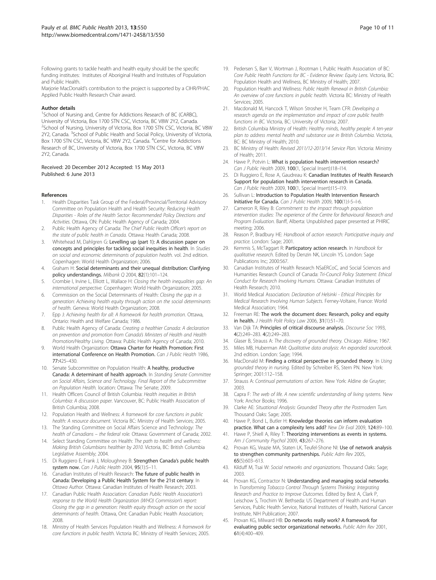<span id="page-9-0"></span>Following grants to tackle health and health equity should be the specific funding institutes: Institutes of Aboriginal Health and Institutes of Population and Public Health.

Marjorie MacDonald's contribution to the project is supported by a CIHR/PHAC Applied Public Health Research Chair award.

#### Author details

<sup>1</sup>School of Nursing and, Centre for Addictions Research of BC (CARBC), University of Victoria, Box 1700 STN CSC, Victoria, BC V8W 2Y2, Canada. <sup>2</sup>School of Nursing, University of Victoria, Box 1700 STN CSC, Victoria, BC V8W 2Y2, Canada. <sup>3</sup>School of Public Health and Social Policy, University of Victoria, Box 1700 STN CSC, Victoria, BC V8W 2Y2, Canada. <sup>4</sup>Centre for Addictions Research of BC, University of Victoria, Box 1700 STN CSC, Victoria, BC V8W 2Y2, Canada.

#### Received: 20 December 2012 Accepted: 15 May 2013 Published: 6 June 2013

#### References

- 1. Health Disparities Task Group of the Federal/Provincial/Territorial Advisory Committee on Population Health and Health Security: Reducing Health Disparities - Roles of the Health Sector: Recommended Policy Directions and Activities. Ottawa, ON: Public Health Agency of Canada; 2004.
- 2. Public Health Agency of Canada: The Chief Public Health Officer's report on the state of public health in Canada. Ottawa: Health Canada; 2008.
- 3. Whitehead M, Dahlgren G: Levelling up (part 1): A discussion paper on concepts and principles for tackling social inequities in health. In Studies on social and economic determinants of population health. vol. 2nd edition. Copenhagen: World Health Organization; 2006.
- 4. Graham H: Social determinants and their unequal distribution: Clarifying policy understandings. Milbank Q 2004, 82(1):101–124.
- 5. Crombie I, Irvine L, Elliott L, Wallace H: Closing the health inequalities gap: An international perspective. Copenhagen: World Health Organization; 2005.
- 6. Commission on the Social Determinants of Health: Closing the gap in a generation: Achieving health equity through action on the social determinants of health. Geneva: World Health Organization; 2008.
- Epp J: Achieving health for all: A framework for health promotion. Ottawa, Ontario: Health and Welfare Canada; 1986.
- Public Health Agency of Canada: Creating a healthier Canada: A declaration on prevention and promotion from Canada's Ministers of Health and Health Promotion/Healthy Living. Ottawa: Public Health Agency of Canada; 2010.
- 9. World Health Organization: Ottawa Charter for Health Promotion: First international Conference on Health Promotion. Can J Public Health 1986. 77:425–430.
- 10. Senate Subcommittee on Population Health: A healthy, productive Canada: A determinant of health approach. In Standing Senate Committee on Social Affairs, Science and Technology. Final Report of the Subcommittee on Population Health. location: Ottawa: The Senate; 2009.
- 11. Health Officers Council of British Columbia: Health inequities in British Columbia: A discussion paper. Vancouver, BC: Public Health Association of British Columbia; 2008.
- 12. Population Health and Wellness: A framework for core functions in public health: A resource document. Victoria BC: Ministry of Health Services; 2005.
- 13. The Standing Committee on Social Affairs Science and Technology: The health of Canadians – the federal role. Ottawa: Government of Canada; 2002.
- 14. Select Standing Committee on Health: The path to health and wellness: Making British Columbians healthier by 2010. Victoria, BC: British Columbia Legislative Assembly; 2004.
- 15. Di Ruggiero E, Frank J, Moloughney B: Strengthen Canada's public health system now. Can J Public Health 2004, 95(1):5-11.
- 16. Canadian Institutes of Health Research: The future of public health in Canada: Developing a Public Health System for the 21st century. In Ottawa Author. Ottawa: Canadian Institutes of Health Research; 2003.
- 17. Canadian Public Health Association: Canadian Public Health Association's response to the World Health Organization (WHO) Commission's report: Closing the gap in a generation: Health equity through action on the social determinants of health. Ottawa, Ont: Canadian Public Health Association; 2008.
- 18. Ministry of Health Services Population Health and Wellness: A framework for core functions in public health. Victoria BC: Ministry of Health Services; 2005.
- 19. Pedersen S, Barr V, Wortman J, Rootman I, Public Health Association of BC: Core Public Health Functions for BC - Evidence Review: Equity Lens. Victoria, BC: Population Health and Wellness, BC Ministry of Health; 2007.
- 20. Population Health and Wellness: Public Health Renewal in British Columbia: An overview of core functions in public health. Victoria BC: Ministry of Health Services; 2005.
- 21. Macdonald M, Hancock T, Wilson Strosher H, Team CFR: Developing a research agenda on the implementation and impact of core public health functions in BC. Victoria, BC: University of Victoria; 2007.
- 22. British Columbia Ministry of Health: Healthy minds, healthy people: A ten-year plan to address mental health and substance use in British Columbia. Victoria, BC: BC Ministry of Health; 2010.
- 23. BC Ministry of Health: Revised 2011/12-2013/14 Service Plan. Victoria: Ministry of Health; 2011.
- 24. Hawe P, Potvin L: What is population health intervention research? Can J Public Health 2009, 100(1, Special Insert): 18-114.
- 25. Di Ruggiero E, Rose A, Gaudreau K: Canadian Institutes of Health Research Support for population health intervention research in Canada. Can J Public Health 2009, 100(1, Special Insert):I15–I19.
- 26. Sullivan L: Introduction to Population Health Intervention Research Initiative for Canada. Can J Public Health 2009, 100(1):I-5-I-6.
- 27. Cameron R, Riley B: Commitment to the impact through population intervention studies: The experience of the Centre for Behavioural Research and Program Evaluation. Banff, Alberta: Unpublished paper presented at PHIRIC meeting; 2006.
- 28. Reason P, Bradbury HE: Handbook of action research: Participative inquiry and practice. London: Sage; 2001.
- 29. Kemmis S, McTaggart R: Particpatory action research. In Handbook for qualitative research. Edited by Denzin NK, Lincoln YS. London: Sage Publications Inc; 2000:567.
- 30. Canadian Institutes of Health Research NSaERCoC, and Social Sciences and Humanities Research Council of Canada: Tri-Council Policy Statement: Ethical Conduct for Research Involving Humans. Ottawa: Canadian Institutes of Health Research; 2010.
- 31. World Medical Association: Declaration of Helsinki Ethical Principles for Medical Research Involving Human Subjects. Ferney-Voltaire, France: World Medical Association; 1964.
- 32. Freeman RE: The work the document does: Research, policy and equity in health. J Health Polit Policy Law 2006, 31(1):51-70.
- 33. Van Dijk TA: Principles of critical discourse analysis. Discourse Soc 1993, 4(2):249–283. 4(2):249–283.
- 34. Glaser B, Strauss A: The discovery of grounded theory. Chicago: Aldine; 1967.
- 35. Miles MB, Huberman AM: Qualitative data analysis: An expanded sourcebook. 2nd edition. London: Sage: 1994.
- 36. MacDonald M: Finding a critical perspective in grounded theory. In Using grounded theory in nursing. Edited by Schreiber RS, Stern PN. New York: Springer; 2001:112–158.
- 37. Strauss A: Continual permutations of action. New York: Aldine de Gruyter; 2003.
- 38. Capra F: The web of life. A new scientific understanding of living systems. New York: Anchor Books; 1996.
- 39. Clarke AE: Situational Analysis: Grounded Theory after the Postmodern Turn. Thousand Oaks: Sage; 2005.
- 40. Hawe P, Bond L, Butler H: Knowledge theories can inform evaluation practice. What can a complexity lens add? New Dir Eval 2009, 124:89–100.
- 41. Hawe P, Shiell A, Riley T: Theorizing interventions as events in systems. Am J Community Psychol 2009, 43:267-276.
- 42. Provan KG, Veazie MA, Staten LK, Teufel-Shone NI: Use of network analysis to strengthen community partnerships. Public Adm Rev 2005, 65(5):603–613.
- 43. Kilduff M, Tsai W: Social networks and organizations. Thousand Oaks: Sage; 2003.
- 44. Provan KG, Contractor N: Understanding and managing social networks. In Transforming Tobacco Control Through Systems Thinking: Integrating Research and Practice to Improve Outcomes. Edited by Best A, Clark P, Leischow S, Trochim W. Bethseda: US Department of Health and Human Services, Public Health Service, National Institutes of Health, National Cancer Institute, NIH Publication; 2007.
- 45. Provan KG, Milward HB: Do networks really work? A framework for evaluating public sector organizational networks. Public Adm Rev 2001, 61(4):400–409.